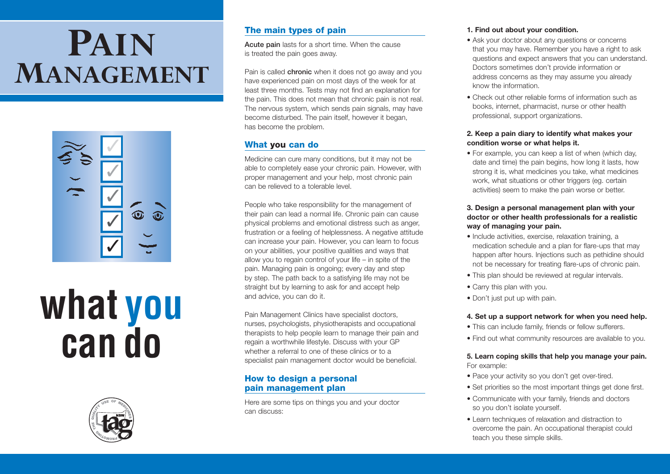# **PAIN MANAGEMENT**



# **what you can do**



# **The main types of pain**

**Acute pain** lasts for a short time. When the cause is treated the pain goes away.

Pain is called **chronic** when it does not go away and you have experienced pain on most days of the week for at least three months. Tests may not find an explanation for the pain. This does not mean that chronic pain is not real. The nervous system, which sends pain signals, may have become disturbed. The pain itself, however it began, has become the problem.

## **What you can do**

Medicine can cure many conditions, but it may not be able to completely ease your chronic pain. However, with proper management and your help, most chronic pain can be relieved to a tolerable level.

People who take responsibility for the management of their pain can lead a normal life. Chronic pain can cause physical problems and emotional distress such as anger, frustration or a feeling of helplessness. A negative attitude can increase your pain. However, you can learn to focus on your abilities, your positive qualities and ways that allow you to regain control of your life – in spite of the pain. Managing pain is ongoing; every day and step by step. The path back to a satisfying life may not be straight but by learning to ask for and accept help and advice, you can do it.

Pain Management Clinics have specialist doctors, nurses, psychologists, physiotherapists and occupational therapists to help people learn to manage their pain and regain a worthwhile lifestyle. Discuss with your GP whether a referral to one of these clinics or to a specialist pain management doctor would be beneficial.

## **How to design a personal pain management plan**

Here are some tips on things you and your doctor can discuss:

#### **1. Find out about your condition.**

- Ask your doctor about any questions or concerns that you may have. Remember you have a right to ask questions and expect answers that you can understand. Doctors sometimes don't provide information or address concerns as they may assume you already know the information.
- Check out other reliable forms of information such as books, internet, pharmacist, nurse or other health professional, support organizations.

#### **2. Keep a pain diary to identify what makes your condition worse or what helps it.**

• For example, you can keep a list of when (which day, date and time) the pain begins, how long it lasts, how strong it is, what medicines you take, what medicines work, what situations or other triggers (eg. certain activities) seem to make the pain worse or better.

#### **3. Design a personal management plan with your doctor or other health professionals for a realistic way of managing your pain.**

- Include activities, exercise, relaxation training, a medication schedule and a plan for flare-ups that may happen after hours. Injections such as pethidine should not be necessary for treating flare-ups of chronic pain.
- This plan should be reviewed at regular intervals.
- Carry this plan with you.
- Don't just put up with pain.

#### **4. Set up a support network for when you need help.**

- This can include family, friends or fellow sufferers.
- Find out what community resources are available to you.

#### **5. Learn coping skills that help you manage your pain.** For example:

- Pace your activity so you don't get over-tired.
- Set priorities so the most important things get done first.
- Communicate with your family, friends and doctors so you don't isolate yourself.
- Learn techniques of relaxation and distraction to overcome the pain. An occupational therapist could teach you these simple skills.